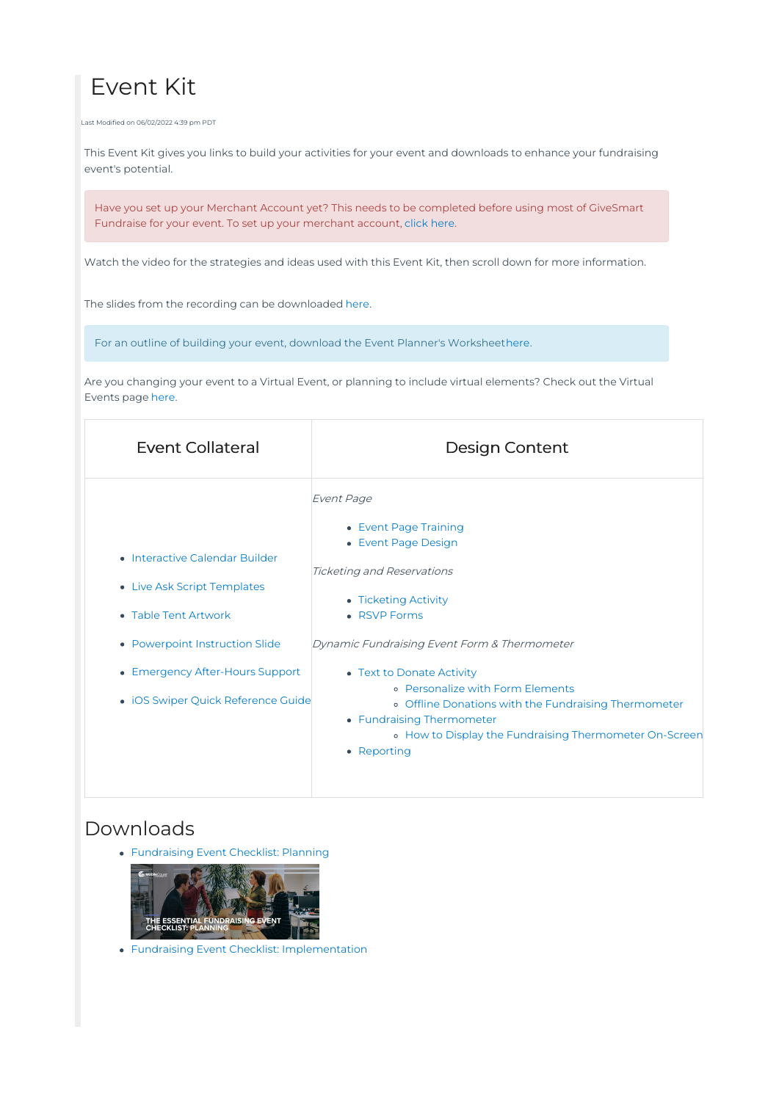# Event Kit

Last Modified on 06/02/2022 4:39 pm PDT

This Event Kit gives you links to build your activities for your event and downloads to enhance your fundraising event's potential.

Have you set up your Merchant Account yet? This needs to be completed before using most of GiveSmart Fundraise for your event. To set up your merchant account, [click](http://support.mobilecause.com/help/merchant-account-setup) here.

Watch the video for the strategies and ideas used with this Event Kit, then scroll down for more information.

The slides from the recording can be downloaded [here](http://www.givesmart.com/customerservice/fundraise/docs/strategies/Fundraising_Event_Kit.pdf).

For an outline of building your event, download the Event Planner's Workshee[there](http://www.givesmart.com/customerservice/fundraise/docs/events/EventPlannersWorksheet.pdf).

Are you changing your event to a Virtual Event, or planning to include virtual elements? Check out the Virtual Events page [here.](http://support.mobilecause.com/help/virtual-events)

| <b>Event Collateral</b>                                                                                                                                                                          | <b>Design Content</b>                                                                                                                                                                                                                                                                                                                                                                                                         |
|--------------------------------------------------------------------------------------------------------------------------------------------------------------------------------------------------|-------------------------------------------------------------------------------------------------------------------------------------------------------------------------------------------------------------------------------------------------------------------------------------------------------------------------------------------------------------------------------------------------------------------------------|
| • Interactive Calendar Builder<br>• Live Ask Script Templates<br>• Table Tent Artwork<br>• Powerpoint Instruction Slide<br>• Emergency After-Hours Support<br>• iOS Swiper Quick Reference Guide | Event Page<br>• Event Page Training<br>• Event Page Design<br><b>Ticketing and Reservations</b><br>• Ticketing Activity<br>• RSVP Forms<br>Dynamic Fundraising Event Form & Thermometer<br>• Text to Donate Activity<br><b>o</b> Personalize with Form Elements<br>o Offline Donations with the Fundraising Thermometer<br>• Fundraising Thermometer<br>• How to Display the Fundraising Thermometer On-Screen<br>• Reporting |
|                                                                                                                                                                                                  |                                                                                                                                                                                                                                                                                                                                                                                                                               |

#### Downloads

[Fundraising](http://www.givesmart.com/customerservice/fundraise/docs/strategies/MobileCause_Fundraising_Event_Checklist_Planning.pdf) Event Checklist: Planning



Fundraising Event Checklist: [Implementation](http://www.givesmart.com/customerservice/fundraise/docs/strategies/MobileCause_Fundraising_Event_Checklist_Implementation.pdf)